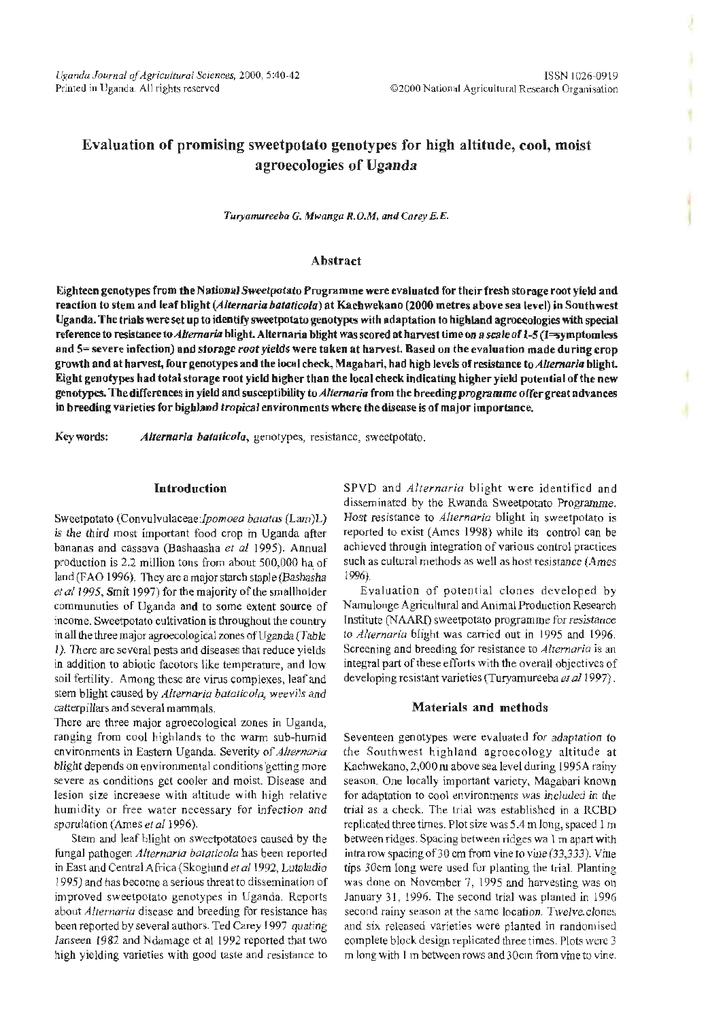# Evaluation of promising sweetpotato genotypes for high altitude, cool, moist agroecologies of Uganda

*Turyamureeba G. Mwanga R.O.M, and Carey E. E.* 

### Abstract

Eighteen genotypes from the NationalSweetpotato Programme were evaluated for their fresh storage root yield and reaction to stem and leaf blight (Alternaria bataticola) at Kachwekano (2000 metres above sea level) in Southwest Uganda. The trials were set up to identify sweetpotato genotypes with adaptation to highland agroecologies with special reference to resistance to *Alternaria* blight. Alternaria blight was scored at harvest time on a scale of 1-5 (1=symptomless and 5= severe infection) and storage root yields were taken at harvest. Based on the evaluation made during crop growth and at harvest, four genotypes and the local check, Magabari, had high levels of resistance to Alternaria blight. Eight genotypes had total storage root yield higher than the local check indicating higher yield potential of the new genotypes. The differences in yield and susceptibility to *Alternaria* from the breeding programme offer great advances in breeding varieties for highland tropical environments where the disease is of major importance.

Key words: Alternaria bataticola, genotypes, resistance, sweetpotato.

## Introduction

Sweetpotato (Convulvulaceae:lpomoea *batatas* (Lam)L) is the third most important food crop in Uganda after bananas and cassava (Bashaasha *et a!* 1995). Annual production is 2.2 million tons from about 500,000 ha of land (FAO 1996). They are a major starch staple (Bashasha et al 1995, Smit 1997) for the majority of the smallholder communuties of Uganda and to some extent source of income. Sweetpotato cultivation is throughout the country in all the three major agroecological zones of Uganda (Table I}. There are several pests and diseases that reduce yields in addition to abiotic facotors like temperature, and low soil fertility. Among these are virus complexes, leaf and stem blight caused by *Alternaria bataticola,* weevils and catterpillars and several mammals.

There are three major agroecological zones in Uganda, ranging from cool highlands to the warm sub-humid environments in Eastern Uganda. Severity of *Alternaria*  blight depends on environmental conditions getting more severe as conditions get cooler and moist. Disease and lesion size increaese with altitude with high relative humidity or free water necessary for infection and sporulation (Ames *et a/1996).* 

Stem and leaf blight on sweetpotatoes caused by the fungal pathogen *Alternaria bataticola* has been reported in East and Central Africa (Skoglund *et* a/1992, Lutaladio 1995) and has become a serious threat to dissemination of improved sweetpotato genotypes in Uganda. Reports about *Alternaria* disease and breeding for resistance has been reported by several authors. Ted Carey 1997 quating Janseen 1982 and Ndamage et al 1992 reported that two high yielding varieties with good taste and resistance to SPVD and *Alternaria* blight were identified and disseminated by the Rwanda Sweetpotato Programme. Host resistance to *Alternaria* blight in sweetpotato is reported to exist (Ames 1998) while its control can be achieved through integration of various control practices such as cultural methods as well as host resistance (Ames 1996).

Evaluation of potential clones developed by Namulonge Agricultural and Animal Production Research fnstitute (NAARI) sweetpotato programme for resistance to *Alternaria* blight was carried out in 1995 and 1996. Screening and breeding for resistance to *Alternaria* is an integral part of these efforts with the overall objectives of developing resistant varieties (Turyamureeba *et* a/1997) .

## Materials and methods

Seventeen genotypes were evaluated for adaptation to the Southwest highland agroecology altitude at Kachwekano, 2,000 m above sea level during 1995A rainy season. One locally important variety, Magabari known for adaptation to cool environments was included in the trial as a check. The trial was established in a RCBD replicated three times. Plot size was 5.4 m long, spaced I m between ridges. Spacing between ridges wa 1 m apart with intra row spacingof30 em from vine to vine (33,333). Vine tips 30cm long were used for planting the trial. Planting was done on November 7, 1995 and harvesting was on January 31, 1996. The second trial was planted in 1996 second rainy season at the same location. Twelve.clones and six released varieties were planted in randomised complete block design replicated three times. Plots were 3 m long with 1 m between rows and 30cm from vine to vine.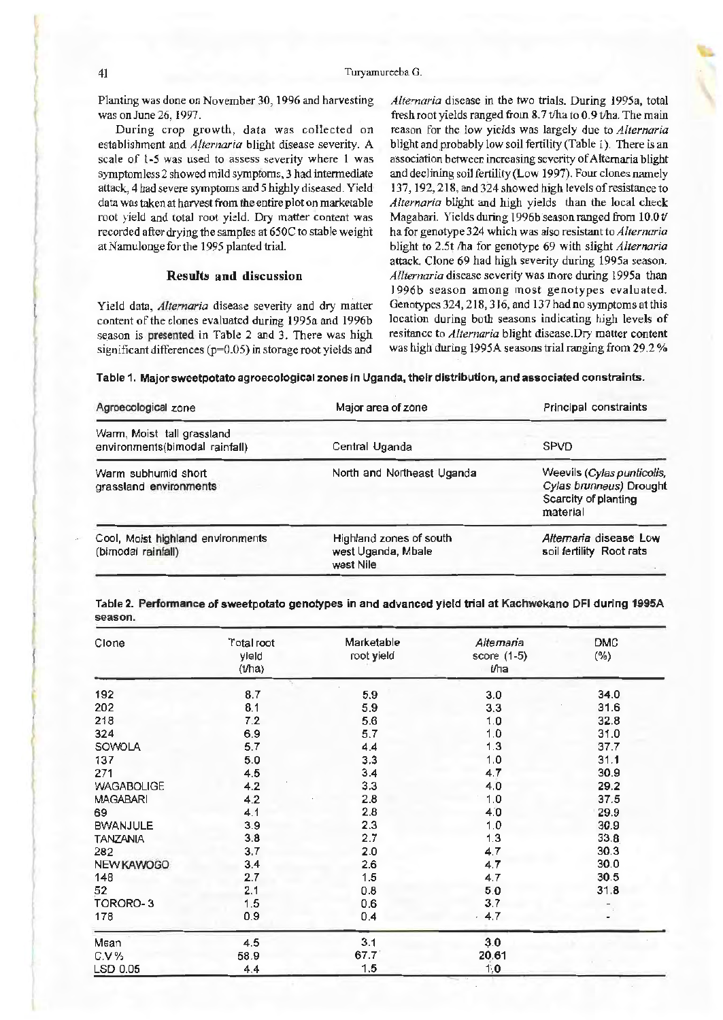#### 41 Turyamureeba G.

Planting was done on November 30, 1996 and harvesting was on June 26, 1997.

During crop growth, data was collected on establishment and *Alternaria* blight disease severity. A scale of 1·5 was used to assess severity where l was symptomless 2 showed mild symptoms, 3 had intermediate attack, 4 had severe symptoms and *5* highly diseased. Yield data was taken at harvest from the entire plot on marketable root yield and total root yield. Dry matter content was recorded after drying the samples at 650C to stable weight at Namulonge for the 1995 planted trial.

#### Results and discussion

Yield data, *Alternaria* disease severity and dry matter content of the clones evaluated during I 995a and 1996b season is presented in Table 2 and 3. There was high significant differences (p=0.05) in storage root yields and

*Alternaria* disease in the two trials. During I995a, total fresh root yields ranged from  $8.7$  t/ha to  $0.9$  t/ha. The main reason for the low yields was largely due to *Alternaria*  blight and probably low soil fertility (Table 1). There is an association between increasing severity of Alternaria blight and declining soil fertility (Low 1997). Four clones namely 137, 192,218, and 324 showed high levels of resistance to *Alternaria* blight and high yields than the local check Magabari. Yields during 1996b season ranged from 10.0 t/ ha for genotype 324 which was also resistant to *Alternaria*  blight to 2.5t /ha for genotype 69 with slight *Alternaria*  attack. Clone 69 had high severity during 1995a season. *Allternaria* disease severity was more during l995a than I 996b season among most genotypes evaluated. Genotypes 324, 218, 316, and 137 had no symptoms at this location during both seasons indicating high levels of resitance to *Alternaria* blight disease.Dry matter content was high during 1995A seasons trial ranging from 29.2%

Table 1. Major sweetpotato agroecological zones in Uganda, their distribution, and associated constraints.

| Agroecological zone                                          | Major area of zone                                         | Principal constraints                                                                     |  |
|--------------------------------------------------------------|------------------------------------------------------------|-------------------------------------------------------------------------------------------|--|
| Warm, Moist tall grassland<br>environments(bimodal rainfall) | Central Uganda                                             | <b>SPVD</b>                                                                               |  |
| Warm subhumid short<br>grassland environments                | North and Northeast Uganda                                 | Weevils (Cylas punticolis,<br>Cylas brunneus) Drought<br>Scarcity of planting<br>material |  |
| Cool, Moist highland environments<br>(bimodal rainfall)      | Highland zones of south<br>west Uganda, Mbale<br>west Nile | Alternaria disease Low<br>soil fertility Root rats                                        |  |

Table 2. Perfonnance of sweetpotato genotypes in and advanced yield trial at Kachwekano DFI during 1995A season.

| Clone             | Total root<br>yield<br>$(b)$ ha) | Marketable<br>root yield | Alternaria<br>score (1-5)<br>t/ha | <b>DMC</b><br>$(\% )$ |
|-------------------|----------------------------------|--------------------------|-----------------------------------|-----------------------|
| 192               | 8.7                              | 5.9                      | 3.0                               | 34.0                  |
| 202               | 8.1                              | 5.9                      | 3.3                               | 31.6                  |
| 218               | 7.2                              | 5.6                      | 1,0                               | 32.8                  |
| 324               | 6.9                              | 5,7                      | 1.0                               | 31.0                  |
| SOWOLA            | 5.7                              | 4.4                      | 1.3                               | 37.7                  |
| 137               | 5.0                              | 3.3                      | 1.0                               | 31.1                  |
| 271               | 4.5                              | 3.4                      | 4.7                               | 30.9                  |
| <b>WAGABOLIGE</b> | 4.2                              | 3.3                      | 4.0                               | 29.2                  |
| <b>MAGABARI</b>   | 4.2                              | 2.8                      | 1.0                               | 37.5                  |
| 69                | 4.1                              | 2.8                      | 4.0                               | 29.9                  |
| <b>BWANJULE</b>   | 3.9                              | 2.3                      | 1.0                               | 30.9                  |
| <b>TANZANIA</b>   | 3.8                              | 2.7                      | 1.3                               | 33.8                  |
| 282               | 3.7                              | 2.0                      | 4.7                               | 30.3                  |
| NEW KAWOGO        | 3.4                              | 2.6                      | 4.7                               | 30.0                  |
| 148               | 2.7                              | 1.5                      | 4.7                               | 30.5                  |
| 52                | 2,1                              | 0.8                      | 5.0                               | 31.8                  |
| TORORO-3          | 1.5                              | 0.6                      | 3.7                               |                       |
| 178               | 0.9                              | 0.4                      | $-4.7$                            |                       |
| Mean              | 4.5                              | 3.1                      | 3.0                               |                       |
| $C.V.$ %          | 58.9                             | 67.7                     | 20.61                             |                       |
| LSD 0.05          | 4.4                              | 1.5                      | 1,0                               |                       |